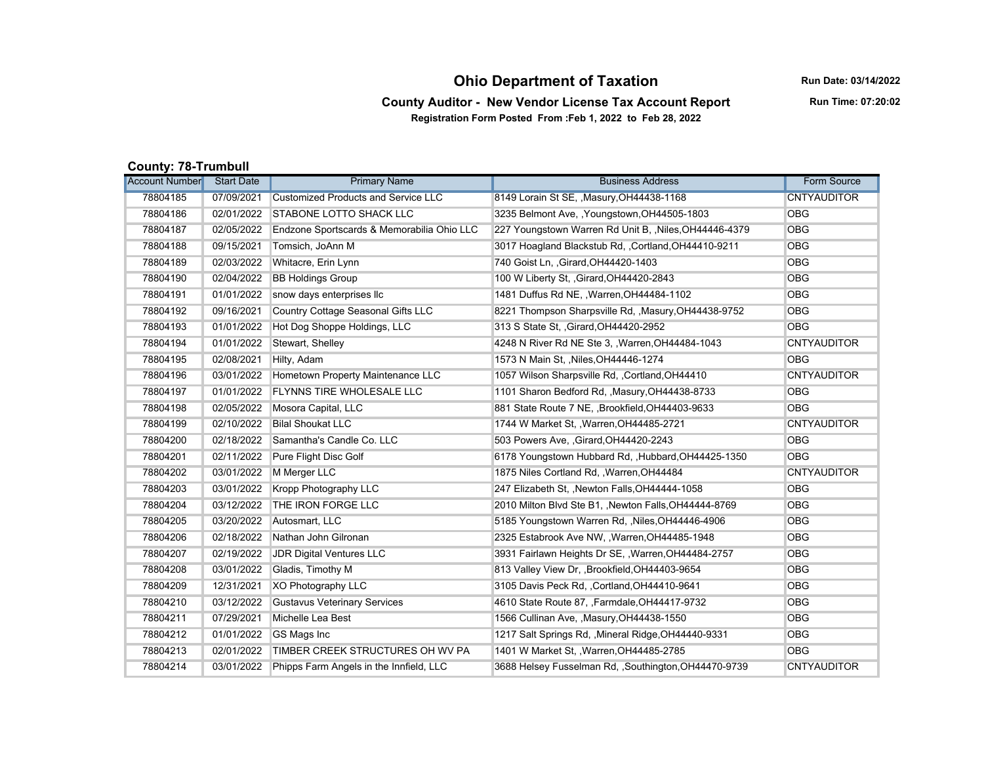## **Ohio Department of Taxation**

**Run Date: 03/14/2022**

**Run Time: 07:20:02**

**County Auditor - New Vendor License Tax Account Report Registration Form Posted From :Feb 1, 2022 to Feb 28, 2022**

**County: 78-Trumbull**

| .<br><b>Account Number</b> | <b>Start Date</b> | <b>Primary Name</b>                        | <b>Business Address</b>                                | Form Source        |
|----------------------------|-------------------|--------------------------------------------|--------------------------------------------------------|--------------------|
| 78804185                   | 07/09/2021        | <b>Customized Products and Service LLC</b> | 8149 Lorain St SE, , Masury, OH44438-1168              | <b>CNTYAUDITOR</b> |
| 78804186                   | 02/01/2022        | <b>STABONE LOTTO SHACK LLC</b>             | 3235 Belmont Ave, , Youngstown, OH44505-1803           | <b>OBG</b>         |
| 78804187                   | 02/05/2022        | Endzone Sportscards & Memorabilia Ohio LLC | 227 Youngstown Warren Rd Unit B, , Niles, OH44446-4379 | <b>OBG</b>         |
| 78804188                   | 09/15/2021        | Tomsich, JoAnn M                           | 3017 Hoagland Blackstub Rd., Cortland, OH44410-9211    | <b>OBG</b>         |
| 78804189                   | 02/03/2022        | Whitacre, Erin Lynn                        | 740 Goist Ln. , Girard, OH44420-1403                   | <b>OBG</b>         |
| 78804190                   | 02/04/2022        | <b>BB Holdings Group</b>                   | 100 W Liberty St, , Girard, OH44420-2843               | <b>OBG</b>         |
| 78804191                   | 01/01/2022        | snow days enterprises llc                  | 1481 Duffus Rd NE, , Warren, OH44484-1102              | <b>OBG</b>         |
| 78804192                   | 09/16/2021        | Country Cottage Seasonal Gifts LLC         | 8221 Thompson Sharpsville Rd, , Masury, OH44438-9752   | <b>OBG</b>         |
| 78804193                   | 01/01/2022        | Hot Dog Shoppe Holdings, LLC               | 313 S State St, , Girard, OH44420-2952                 | <b>OBG</b>         |
| 78804194                   | 01/01/2022        | Stewart, Shelley                           | 4248 N River Rd NE Ste 3, , Warren, OH44484-1043       | <b>CNTYAUDITOR</b> |
| 78804195                   | 02/08/2021        | Hilty, Adam                                | 1573 N Main St., Niles, OH44446-1274                   | <b>OBG</b>         |
| 78804196                   | 03/01/2022        | Hometown Property Maintenance LLC          | 1057 Wilson Sharpsville Rd. , Cortland, OH44410        | <b>CNTYAUDITOR</b> |
| 78804197                   | 01/01/2022        | FLYNNS TIRE WHOLESALE LLC                  | 1101 Sharon Bedford Rd, , Masury, OH44438-8733         | <b>OBG</b>         |
| 78804198                   | 02/05/2022        | Mosora Capital, LLC                        | 881 State Route 7 NE, Brookfield, OH44403-9633         | <b>OBG</b>         |
| 78804199                   | 02/10/2022        | <b>Bilal Shoukat LLC</b>                   | 1744 W Market St., Warren, OH44485-2721                | <b>CNTYAUDITOR</b> |
| 78804200                   | 02/18/2022        | Samantha's Candle Co. LLC                  | 503 Powers Ave, , Girard, OH44420-2243                 | <b>OBG</b>         |
| 78804201                   | 02/11/2022        | Pure Flight Disc Golf                      | 6178 Youngstown Hubbard Rd., Hubbard, OH44425-1350     | <b>OBG</b>         |
| 78804202                   | 03/01/2022        | M Merger LLC                               | 1875 Niles Cortland Rd, , Warren, OH44484              | <b>CNTYAUDITOR</b> |
| 78804203                   | 03/01/2022        | Kropp Photography LLC                      | 247 Elizabeth St., Newton Falls, OH44444-1058          | <b>OBG</b>         |
| 78804204                   | 03/12/2022        | THE IRON FORGE LLC                         | 2010 Milton Blvd Ste B1, , Newton Falls, OH44444-8769  | <b>OBG</b>         |
| 78804205                   | 03/20/2022        | Autosmart, LLC                             | 5185 Youngstown Warren Rd, , Niles, OH44446-4906       | <b>OBG</b>         |
| 78804206                   | 02/18/2022        | Nathan John Gilronan                       | 2325 Estabrook Ave NW, , Warren, OH44485-1948          | <b>OBG</b>         |
| 78804207                   | 02/19/2022        | <b>JDR Digital Ventures LLC</b>            | 3931 Fairlawn Heights Dr SE, , Warren, OH44484-2757    | <b>OBG</b>         |
| 78804208                   | 03/01/2022        | Gladis, Timothy M                          | 813 Valley View Dr, , Brookfield, OH44403-9654         | <b>OBG</b>         |
| 78804209                   | 12/31/2021        | XO Photography LLC                         | 3105 Davis Peck Rd., Cortland, OH44410-9641            | <b>OBG</b>         |
| 78804210                   | 03/12/2022        | <b>Gustavus Veterinary Services</b>        | 4610 State Route 87, , Farmdale, OH44417-9732          | <b>OBG</b>         |
| 78804211                   | 07/29/2021        | Michelle Lea Best                          | 1566 Cullinan Ave, , Masury, OH44438-1550              | <b>OBG</b>         |
| 78804212                   | 01/01/2022        | GS Mags Inc                                | 1217 Salt Springs Rd, , Mineral Ridge, OH44440-9331    | <b>OBG</b>         |
| 78804213                   | 02/01/2022        | TIMBER CREEK STRUCTURES OH WV PA           | 1401 W Market St., Warren, OH44485-2785                | <b>OBG</b>         |
| 78804214                   | 03/01/2022        | Phipps Farm Angels in the Innfield, LLC    | 3688 Helsey Fusselman Rd, , Southington, OH44470-9739  | <b>CNTYAUDITOR</b> |